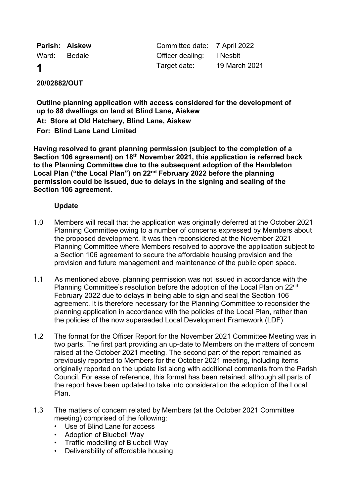|       | Parish: Aiskew | Committee date: 7 April 2022 |               |
|-------|----------------|------------------------------|---------------|
| Ward: | <b>Bedale</b>  | Officer dealing: I Nesbit    |               |
| 1     |                | Target date:                 | 19 March 2021 |

# **20/02882/OUT**

**Outline planning application with access considered for the development of up to 88 dwellings on land at Blind Lane, Aiskew**

**At: Store at Old Hatchery, Blind Lane, Aiskew**

**For: Blind Lane Land Limited**

**Having resolved to grant planning permission (subject to the completion of a Section 106 agreement) on 18th November 2021, this application is referred back to the Planning Committee due to the subsequent adoption of the Hambleton Local Plan ("the Local Plan") on 22nd February 2022 before the planning permission could be issued, due to delays in the signing and sealing of the Section 106 agreement.** 

### **Update**

- 1.0 Members will recall that the application was originally deferred at the October 2021 Planning Committee owing to a number of concerns expressed by Members about the proposed development. It was then reconsidered at the November 2021 Planning Committee where Members resolved to approve the application subject to a Section 106 agreement to secure the affordable housing provision and the provision and future management and maintenance of the public open space.
- 1.1 As mentioned above, planning permission was not issued in accordance with the Planning Committee's resolution before the adoption of the Local Plan on 22<sup>nd</sup> February 2022 due to delays in being able to sign and seal the Section 106 agreement. It is therefore necessary for the Planning Committee to reconsider the planning application in accordance with the policies of the Local Plan, rather than the policies of the now superseded Local Development Framework (LDF)
- 1.2 The format for the Officer Report for the November 2021 Committee Meeting was in two parts. The first part providing an up-date to Members on the matters of concern raised at the October 2021 meeting. The second part of the report remained as previously reported to Members for the October 2021 meeting, including items originally reported on the update list along with additional comments from the Parish Council. For ease of reference, this format has been retained, although all parts of the report have been updated to take into consideration the adoption of the Local Plan.
- 1.3 The matters of concern related by Members (at the October 2021 Committee meeting) comprised of the following:
	- Use of Blind Lane for access
	- Adoption of Bluebell Way
	- Traffic modelling of Bluebell Way
	- Deliverability of affordable housing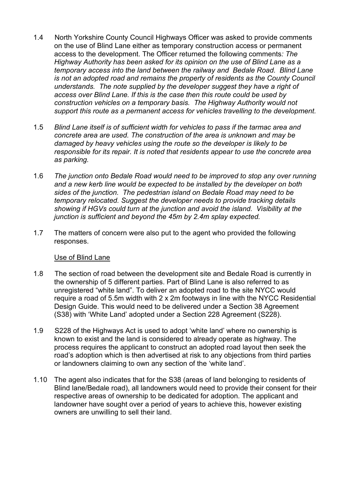- 1.4 North Yorkshire County Council Highways Officer was asked to provide comments on the use of Blind Lane either as temporary construction access or permanent access to the development. The Officer returned the following comments*: The Highway Authority has been asked for its opinion on the use of Blind Lane as a temporary access into the land between the railway and Bedale Road. Blind Lane is not an adopted road and remains the property of residents as the County Council understands. The note supplied by the developer suggest they have a right of access over Blind Lane. If this is the case then this route could be used by construction vehicles on a temporary basis. The Highway Authority would not support this route as a permanent access for vehicles travelling to the development.*
- 1.5 *Blind Lane itself is of sufficient width for vehicles to pass if the tarmac area and concrete area are used. The construction of the area is unknown and may be damaged by heavy vehicles using the route so the developer is likely to be responsible for its repair. It is noted that residents appear to use the concrete area as parking.*
- 1.6 *The junction onto Bedale Road would need to be improved to stop any over running and a new kerb line would be expected to be installed by the developer on both sides of the junction. The pedestrian island on Bedale Road may need to be temporary relocated. Suggest the developer needs to provide tracking details showing if HGVs could turn at the junction and avoid the island. Visibility at the junction is sufficient and beyond the 45m by 2.4m splay expected.*
- 1.7 The matters of concern were also put to the agent who provided the following responses.

### Use of Blind Lane

- 1.8 The section of road between the development site and Bedale Road is currently in the ownership of 5 different parties. Part of Blind Lane is also referred to as unregistered "white land". To deliver an adopted road to the site NYCC would require a road of 5.5m width with 2 x 2m footways in line with the NYCC Residential Design Guide. This would need to be delivered under a Section 38 Agreement (S38) with 'White Land' adopted under a Section 228 Agreement (S228).
- 1.9 S228 of the Highways Act is used to adopt 'white land' where no ownership is known to exist and the land is considered to already operate as highway. The process requires the applicant to construct an adopted road layout then seek the road's adoption which is then advertised at risk to any objections from third parties or landowners claiming to own any section of the 'white land'.
- 1.10 The agent also indicates that for the S38 (areas of land belonging to residents of Blind lane/Bedale road), all landowners would need to provide their consent for their respective areas of ownership to be dedicated for adoption. The applicant and landowner have sought over a period of years to achieve this, however existing owners are unwilling to sell their land.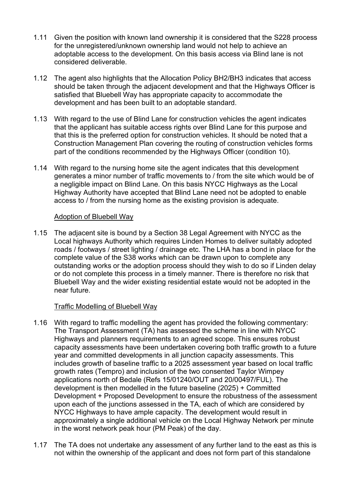- 1.11 Given the position with known land ownership it is considered that the S228 process for the unregistered/unknown ownership land would not help to achieve an adoptable access to the development. On this basis access via Blind lane is not considered deliverable.
- 1.12 The agent also highlights that the Allocation Policy BH2/BH3 indicates that access should be taken through the adjacent development and that the Highways Officer is satisfied that Bluebell Way has appropriate capacity to accommodate the development and has been built to an adoptable standard.
- 1.13 With regard to the use of Blind Lane for construction vehicles the agent indicates that the applicant has suitable access rights over Blind Lane for this purpose and that this is the preferred option for construction vehicles. It should be noted that a Construction Management Plan covering the routing of construction vehicles forms part of the conditions recommended by the Highways Officer (condition 10).
- 1.14 With regard to the nursing home site the agent indicates that this development generates a minor number of traffic movements to / from the site which would be of a negligible impact on Blind Lane. On this basis NYCC Highways as the Local Highway Authority have accepted that Blind Lane need not be adopted to enable access to / from the nursing home as the existing provision is adequate.

## Adoption of Bluebell Way

1.15 The adjacent site is bound by a Section 38 Legal Agreement with NYCC as the Local highways Authority which requires Linden Homes to deliver suitably adopted roads / footways / street lighting / drainage etc. The LHA has a bond in place for the complete value of the S38 works which can be drawn upon to complete any outstanding works or the adoption process should they wish to do so if Linden delay or do not complete this process in a timely manner. There is therefore no risk that Bluebell Way and the wider existing residential estate would not be adopted in the near future.

# Traffic Modelling of Bluebell Way

- 1.16 With regard to traffic modelling the agent has provided the following commentary: The Transport Assessment (TA) has assessed the scheme in line with NYCC Highways and planners requirements to an agreed scope. This ensures robust capacity assessments have been undertaken covering both traffic growth to a future year and committed developments in all junction capacity assessments. This includes growth of baseline traffic to a 2025 assessment year based on local traffic growth rates (Tempro) and inclusion of the two consented Taylor Wimpey applications north of Bedale (Refs 15/01240/OUT and 20/00497/FUL). The development is then modelled in the future baseline (2025) + Committed Development + Proposed Development to ensure the robustness of the assessment upon each of the junctions assessed in the TA, each of which are considered by NYCC Highways to have ample capacity. The development would result in approximately a single additional vehicle on the Local Highway Network per minute in the worst network peak hour (PM Peak) of the day.
- 1.17 The TA does not undertake any assessment of any further land to the east as this is not within the ownership of the applicant and does not form part of this standalone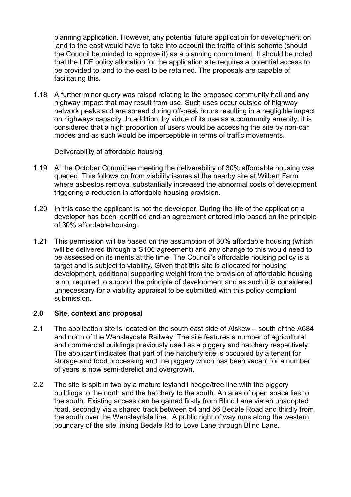planning application. However, any potential future application for development on land to the east would have to take into account the traffic of this scheme (should the Council be minded to approve it) as a planning commitment. It should be noted that the LDF policy allocation for the application site requires a potential access to be provided to land to the east to be retained. The proposals are capable of facilitating this.

1.18 A further minor query was raised relating to the proposed community hall and any highway impact that may result from use. Such uses occur outside of highway network peaks and are spread during off-peak hours resulting in a negligible impact on highways capacity. In addition, by virtue of its use as a community amenity, it is considered that a high proportion of users would be accessing the site by non-car modes and as such would be imperceptible in terms of traffic movements.

## Deliverability of affordable housing

- 1.19 At the October Committee meeting the deliverability of 30% affordable housing was queried. This follows on from viability issues at the nearby site at Wilbert Farm where asbestos removal substantially increased the abnormal costs of development triggering a reduction in affordable housing provision.
- 1.20 In this case the applicant is not the developer. During the life of the application a developer has been identified and an agreement entered into based on the principle of 30% affordable housing.
- 1.21 This permission will be based on the assumption of 30% affordable housing (which will be delivered through a S106 agreement) and any change to this would need to be assessed on its merits at the time. The Council's affordable housing policy is a target and is subject to viability. Given that this site is allocated for housing development, additional supporting weight from the provision of affordable housing is not required to support the principle of development and as such it is considered unnecessary for a viability appraisal to be submitted with this policy compliant submission.

### **2.0 Site, context and proposal**

- 2.1 The application site is located on the south east side of Aiskew south of the A684 and north of the Wensleydale Railway. The site features a number of agricultural and commercial buildings previously used as a piggery and hatchery respectively. The applicant indicates that part of the hatchery site is occupied by a tenant for storage and food processing and the piggery which has been vacant for a number of years is now semi-derelict and overgrown.
- 2.2 The site is split in two by a mature leylandii hedge/tree line with the piggery buildings to the north and the hatchery to the south. An area of open space lies to the south. Existing access can be gained firstly from Blind Lane via an unadopted road, secondly via a shared track between 54 and 56 Bedale Road and thirdly from the south over the Wensleydale line. A public right of way runs along the western boundary of the site linking Bedale Rd to Love Lane through Blind Lane.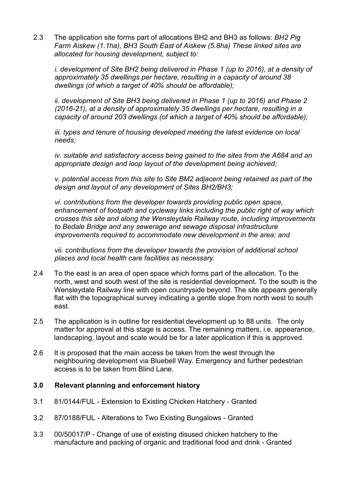2.3 The application site forms part of allocations BH2 and BH3 as follows: *BH2 Pig Farm Aiskew (1.1ha), BH3 South East of Aiskew (5.8ha) These linked sites are allocated for housing development, subject to:* 

*i. development of Site BH2 being delivered in Phase 1 (up to 2016), at a density of approximately 35 dwellings per hectare, resulting in a capacity of around 38 dwellings (of which a target of 40% should be affordable);* 

*ii. development of Site BH3 being delivered in Phase 1 (up to 2016) and Phase 2 (2016-21), at a density of approximately 35 dwellings per hectare, resulting in a capacity of around 203 dwellings (of which a target of 40% should be affordable);* 

*iii. types and tenure of housing developed meeting the latest evidence on local needs;* 

*iv. suitable and satisfactory access being gained to the sites from the A684 and an appropriate design and loop layout of the development being achieved;* 

*v. potential access from this site to Site BM2 adjacent being retained as part of the design and layout of any development of Sites BH2/BH3;* 

*vi. contributions from the developer towards providing public open space, enhancement of footpath and cycleway links including the public right of way which crosses this site and along the Wensleydale Railway route, including improvements to Bedale Bridge and any sewerage and sewage disposal infrastructure improvements required to accommodate new development in the area; and* 

*vii. contributions from the developer towards the provision of additional school places and local health care facilities as necessary.*

- 2.4 To the east is an area of open space which forms part of the allocation. To the north, west and south west of the site is residential development. To the south is the Wensleydale Railway line with open countryside beyond. The site appears generally flat with the topographical survey indicating a gentle slope from north west to south east.
- 2.5 The application is in outline for residential development up to 88 units. The only matter for approval at this stage is access. The remaining matters, i.e. appearance, landscaping, layout and scale would be for a later application if this is approved.
- 2.6 It is proposed that the main access be taken from the west through the neighbouring development via Bluebell Way. Emergency and further pedestrian access is to be taken from Blind Lane.

### **3.0 Relevant planning and enforcement history**

- 3.1 81/0144/FUL Extension to Existing Chicken Hatchery Granted
- 3.2 87/0188/FUL Alterations to Two Existing Bungalows Granted
- 3.3 00/50017/P Change of use of existing disused chicken hatchery to the manufacture and packing of organic and traditional food and drink - Granted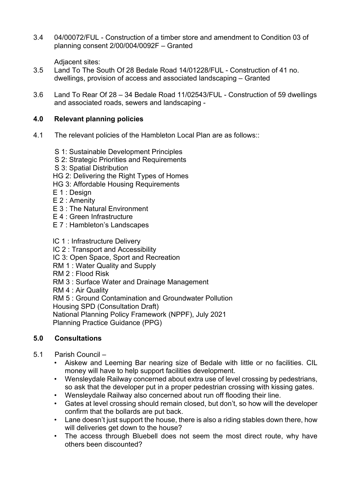3.4 04/00072/FUL - Construction of a timber store and amendment to Condition 03 of planning consent 2/00/004/0092F – Granted

Adiacent sites:

- 3.5 Land To The South Of 28 Bedale Road 14/01228/FUL Construction of 41 no. dwellings, provision of access and associated landscaping – Granted
- 3.6 Land To Rear Of 28 34 Bedale Road 11/02543/FUL Construction of 59 dwellings and associated roads, sewers and landscaping -

# **4.0 Relevant planning policies**

- 4.1 The relevant policies of the Hambleton Local Plan are as follows::
	- S 1: Sustainable Development Principles
	- S 2: Strategic Priorities and Requirements
	- S 3: Spatial Distribution
	- HG 2: Delivering the Right Types of Homes
	- HG 3: Affordable Housing Requirements
	- E 1 : Design
	- E 2 : Amenity
	- E 3 : The Natural Environment
	- E 4 : Green Infrastructure
	- E 7 : Hambleton's Landscapes
	- lC 1 : Infrastructure Delivery
	- IC 2 : Transport and Accessibility
	- IC 3: Open Space, Sport and Recreation
	- RM 1 : Water Quality and Supply
	- RM 2 : Flood Risk
	- RM 3 : Surface Water and Drainage Management
	- RM 4 : Air Quality

RM 5 : Ground Contamination and Groundwater Pollution

Housing SPD (Consultation Draft)

National Planning Policy Framework (NPPF), July 2021

Planning Practice Guidance (PPG)

# **5.0 Consultations**

- 5.1 Parish Council
	- Aiskew and Leeming Bar nearing size of Bedale with little or no facilities. CIL money will have to help support facilities development.
	- Wensleydale Railway concerned about extra use of level crossing by pedestrians, so ask that the developer put in a proper pedestrian crossing with kissing gates.
	- Wensleydale Railway also concerned about run off flooding their line.
	- Gates at level crossing should remain closed, but don't, so how will the developer confirm that the bollards are put back.
	- Lane doesn't just support the house, there is also a riding stables down there, how will deliveries get down to the house?
	- The access through Bluebell does not seem the most direct route, why have others been discounted?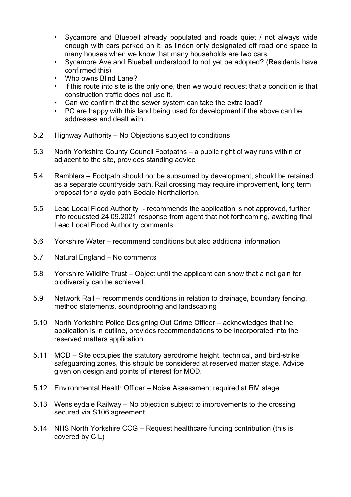- Sycamore and Bluebell already populated and roads quiet / not always wide enough with cars parked on it, as linden only designated off road one space to many houses when we know that many households are two cars.
- Sycamore Ave and Bluebell understood to not yet be adopted? (Residents have confirmed this)
- Who owns Blind Lane?
- If this route into site is the only one, then we would request that a condition is that construction traffic does not use it.
- Can we confirm that the sewer system can take the extra load?
- PC are happy with this land being used for development if the above can be addresses and dealt with.
- 5.2 Highway Authority No Objections subject to conditions
- 5.3 North Yorkshire County Council Footpaths a public right of way runs within or adjacent to the site, provides standing advice
- 5.4 Ramblers Footpath should not be subsumed by development, should be retained as a separate countryside path. Rail crossing may require improvement, long term proposal for a cycle path Bedale-Northallerton.
- 5.5 Lead Local Flood Authority recommends the application is not approved, further info requested 24.09.2021 response from agent that not forthcoming, awaiting final Lead Local Flood Authority comments
- 5.6 Yorkshire Water recommend conditions but also additional information
- 5.7 Natural England No comments
- 5.8 Yorkshire Wildlife Trust Object until the applicant can show that a net gain for biodiversity can be achieved.
- 5.9 Network Rail recommends conditions in relation to drainage, boundary fencing, method statements, soundproofing and landscaping
- 5.10 North Yorkshire Police Designing Out Crime Officer acknowledges that the application is in outline, provides recommendations to be incorporated into the reserved matters application.
- 5.11 MOD Site occupies the statutory aerodrome height, technical, and bird-strike safeguarding zones, this should be considered at reserved matter stage. Advice given on design and points of interest for MOD.
- 5.12 Environmental Health Officer Noise Assessment required at RM stage
- 5.13 Wensleydale Railway No objection subject to improvements to the crossing secured via S106 agreement
- 5.14 NHS North Yorkshire CCG Request healthcare funding contribution (this is covered by CIL)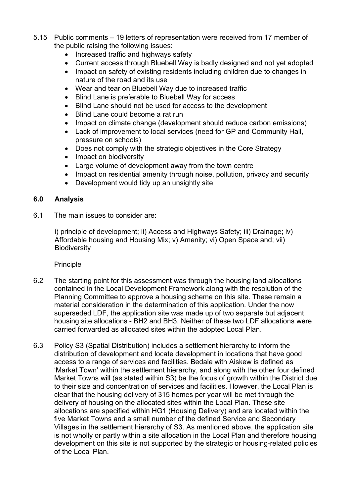- 5.15 Public comments 19 letters of representation were received from 17 member of the public raising the following issues:
	- Increased traffic and highways safety
	- Current access through Bluebell Way is badly designed and not yet adopted
	- Impact on safety of existing residents including children due to changes in nature of the road and its use
	- Wear and tear on Bluebell Way due to increased traffic
	- Blind Lane is preferable to Bluebell Way for access
	- Blind Lane should not be used for access to the development
	- Blind Lane could become a rat run
	- Impact on climate change (development should reduce carbon emissions)
	- Lack of improvement to local services (need for GP and Community Hall, pressure on schools)
	- Does not comply with the strategic objectives in the Core Strategy
	- Impact on biodiversity
	- Large volume of development away from the town centre
	- Impact on residential amenity through noise, pollution, privacy and security
	- Development would tidy up an unsightly site

### **6.0 Analysis**

6.1 The main issues to consider are:

i) principle of development; ii) Access and Highways Safety; iii) Drainage; iv) Affordable housing and Housing Mix; v) Amenity; vi) Open Space and; vii) **Biodiversity** 

### Principle

- 6.2 The starting point for this assessment was through the housing land allocations contained in the Local Development Framework along with the resolution of the Planning Committee to approve a housing scheme on this site. These remain a material consideration in the determination of this application. Under the now superseded LDF, the application site was made up of two separate but adjacent housing site allocations - BH2 and BH3. Neither of these two LDF allocations were carried forwarded as allocated sites within the adopted Local Plan.
- 6.3 Policy S3 (Spatial Distribution) includes a settlement hierarchy to inform the distribution of development and locate development in locations that have good access to a range of services and facilities. Bedale with Aiskew is defined as 'Market Town' within the settlement hierarchy, and along with the other four defined Market Towns will (as stated within S3) be the focus of growth within the District due to their size and concentration of services and facilities. However, the Local Plan is clear that the housing delivery of 315 homes per year will be met through the delivery of housing on the allocated sites within the Local Plan. These site allocations are specified within HG1 (Housing Delivery) and are located within the five Market Towns and a small number of the defined Service and Secondary Villages in the settlement hierarchy of S3. As mentioned above, the application site is not wholly or partly within a site allocation in the Local Plan and therefore housing development on this site is not supported by the strategic or housing-related policies of the Local Plan.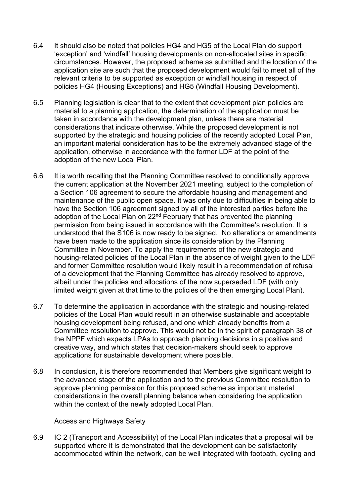- 6.4 It should also be noted that policies HG4 and HG5 of the Local Plan do support 'exception' and 'windfall' housing developments on non-allocated sites in specific circumstances. However, the proposed scheme as submitted and the location of the application site are such that the proposed development would fail to meet all of the relevant criteria to be supported as exception or windfall housing in respect of policies HG4 (Housing Exceptions) and HG5 (Windfall Housing Development).
- 6.5 Planning legislation is clear that to the extent that development plan policies are material to a planning application, the determination of the application must be taken in accordance with the development plan, unless there are material considerations that indicate otherwise. While the proposed development is not supported by the strategic and housing policies of the recently adopted Local Plan, an important material consideration has to be the extremely advanced stage of the application, otherwise in accordance with the former LDF at the point of the adoption of the new Local Plan.
- 6.6 It is worth recalling that the Planning Committee resolved to conditionally approve the current application at the November 2021 meeting, subject to the completion of a Section 106 agreement to secure the affordable housing and management and maintenance of the public open space. It was only due to difficulties in being able to have the Section 106 agreement signed by all of the interested parties before the adoption of the Local Plan on  $22<sup>nd</sup>$  February that has prevented the planning permission from being issued in accordance with the Committee's resolution. It is understood that the S106 is now ready to be signed. No alterations or amendments have been made to the application since its consideration by the Planning Committee in November. To apply the requirements of the new strategic and housing-related policies of the Local Plan in the absence of weight given to the LDF and former Committee resolution would likely result in a recommendation of refusal of a development that the Planning Committee has already resolved to approve, albeit under the policies and allocations of the now superseded LDF (with only limited weight given at that time to the policies of the then emerging Local Plan).
- 6.7 To determine the application in accordance with the strategic and housing-related policies of the Local Plan would result in an otherwise sustainable and acceptable housing development being refused, and one which already benefits from a Committee resolution to approve. This would not be in the spirit of paragraph 38 of the NPPF which expects LPAs to approach planning decisions in a positive and creative way, and which states that decision-makers should seek to approve applications for sustainable development where possible.
- 6.8 In conclusion, it is therefore recommended that Members give significant weight to the advanced stage of the application and to the previous Committee resolution to approve planning permission for this proposed scheme as important material considerations in the overall planning balance when considering the application within the context of the newly adopted Local Plan.

### Access and Highways Safety

6.9 IC 2 (Transport and Accessibility) of the Local Plan indicates that a proposal will be supported where it is demonstrated that the development can be satisfactorily accommodated within the network, can be well integrated with footpath, cycling and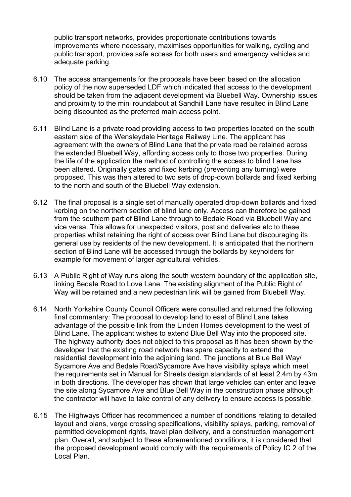public transport networks, provides proportionate contributions towards improvements where necessary, maximises opportunities for walking, cycling and public transport, provides safe access for both users and emergency vehicles and adequate parking.

- 6.10 The access arrangements for the proposals have been based on the allocation policy of the now superseded LDF which indicated that access to the development should be taken from the adjacent development via Bluebell Way. Ownership issues and proximity to the mini roundabout at Sandhill Lane have resulted in Blind Lane being discounted as the preferred main access point.
- 6.11 Blind Lane is a private road providing access to two properties located on the south eastern side of the Wensleydale Heritage Railway Line. The applicant has agreement with the owners of Blind Lane that the private road be retained across the extended Bluebell Way, affording access only to those two properties. During the life of the application the method of controlling the access to blind Lane has been altered. Originally gates and fixed kerbing (preventing any turning) were proposed. This was then altered to two sets of drop-down bollards and fixed kerbing to the north and south of the Bluebell Way extension.
- 6.12 The final proposal is a single set of manually operated drop-down bollards and fixed kerbing on the northern section of blind lane only. Access can therefore be gained from the southern part of Blind Lane through to Bedale Road via Bluebell Way and vice versa. This allows for unexpected visitors, post and deliveries etc to these properties whilst retaining the right of access over Blind Lane but discouraging its general use by residents of the new development. It is anticipated that the northern section of Blind Lane will be accessed through the bollards by keyholders for example for movement of larger agricultural vehicles.
- 6.13 A Public Right of Way runs along the south western boundary of the application site, linking Bedale Road to Love Lane. The existing alignment of the Public Right of Way will be retained and a new pedestrian link will be gained from Bluebell Way.
- 6.14 North Yorkshire County Council Officers were consulted and returned the following final commentary: The proposal to develop land to east of Blind Lane takes advantage of the possible link from the Linden Homes development to the west of Blind Lane. The applicant wishes to extend Blue Bell Way into the proposed site. The highway authority does not object to this proposal as it has been shown by the developer that the existing road network has spare capacity to extend the residential development into the adjoining land. The junctions at Blue Bell Way/ Sycamore Ave and Bedale Road/Sycamore Ave have visibility splays which meet the requirements set in Manual for Streets design standards of at least 2.4m by 43m in both directions. The developer has shown that large vehicles can enter and leave the site along Sycamore Ave and Blue Bell Way in the construction phase although the contractor will have to take control of any delivery to ensure access is possible.
- 6.15 The Highways Officer has recommended a number of conditions relating to detailed layout and plans, verge crossing specifications, visibility splays, parking, removal of permitted development rights, travel plan delivery, and a construction management plan. Overall, and subject to these aforementioned conditions, it is considered that the proposed development would comply with the requirements of Policy IC 2 of the Local Plan.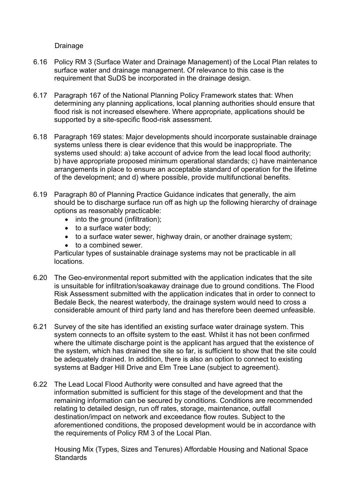Drainage

- 6.16 Policy RM 3 (Surface Water and Drainage Management) of the Local Plan relates to surface water and drainage management. Of relevance to this case is the requirement that SuDS be incorporated in the drainage design.
- 6.17 Paragraph 167 of the National Planning Policy Framework states that: When determining any planning applications, local planning authorities should ensure that flood risk is not increased elsewhere. Where appropriate, applications should be supported by a site-specific flood-risk assessment.
- 6.18 Paragraph 169 states: Major developments should incorporate sustainable drainage systems unless there is clear evidence that this would be inappropriate. The systems used should: a) take account of advice from the lead local flood authority; b) have appropriate proposed minimum operational standards; c) have maintenance arrangements in place to ensure an acceptable standard of operation for the lifetime of the development; and d) where possible, provide multifunctional benefits.
- 6.19 Paragraph 80 of Planning Practice Guidance indicates that generally, the aim should be to discharge surface run off as high up the following hierarchy of drainage options as reasonably practicable:
	- into the ground (infiltration);
	- to a surface water body;
	- to a surface water sewer, highway drain, or another drainage system;
	- to a combined sewer.

Particular types of sustainable drainage systems may not be practicable in all locations.

- 6.20 The Geo-environmental report submitted with the application indicates that the site is unsuitable for infiltration/soakaway drainage due to ground conditions. The Flood Risk Assessment submitted with the application indicates that in order to connect to Bedale Beck, the nearest waterbody, the drainage system would need to cross a considerable amount of third party land and has therefore been deemed unfeasible.
- 6.21 Survey of the site has identified an existing surface water drainage system. This system connects to an offsite system to the east. Whilst it has not been confirmed where the ultimate discharge point is the applicant has argued that the existence of the system, which has drained the site so far, is sufficient to show that the site could be adequately drained. In addition, there is also an option to connect to existing systems at Badger Hill Drive and Elm Tree Lane (subject to agreement).
- 6.22 The Lead Local Flood Authority were consulted and have agreed that the information submitted is sufficient for this stage of the development and that the remaining information can be secured by conditions. Conditions are recommended relating to detailed design, run off rates, storage, maintenance, outfall destination/impact on network and exceedance flow routes. Subject to the aforementioned conditions, the proposed development would be in accordance with the requirements of Policy RM 3 of the Local Plan.

Housing Mix (Types, Sizes and Tenures) Affordable Housing and National Space **Standards**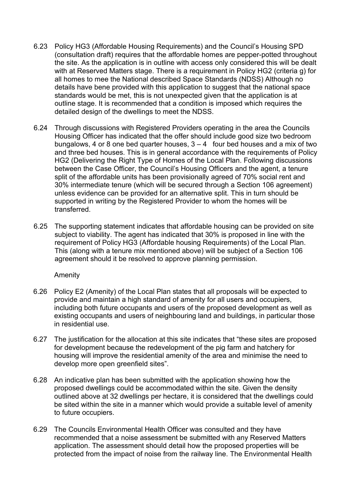- 6.23 Policy HG3 (Affordable Housing Requirements) and the Council's Housing SPD (consultation draft) requires that the affordable homes are pepper-potted throughout the site. As the application is in outline with access only considered this will be dealt with at Reserved Matters stage. There is a requirement in Policy HG2 (criteria g) for all homes to mee the National described Space Standards (NDSS) Although no details have bene provided with this application to suggest that the national space standards would be met, this is not unexpected given that the application is at outline stage. It is recommended that a condition is imposed which requires the detailed design of the dwellings to meet the NDSS.
- 6.24 Through discussions with Registered Providers operating in the area the Councils Housing Officer has indicated that the offer should include good size two bedroom bungalows, 4 or 8 one bed quarter houses,  $3 - 4$  four bed houses and a mix of two and three bed houses. This is in general accordance with the requirements of Policy HG2 (Delivering the Right Type of Homes of the Local Plan. Following discussions between the Case Officer, the Council's Housing Officers and the agent, a tenure split of the affordable units has been provisionally agreed of 70% social rent and 30% intermediate tenure (which will be secured through a Section 106 agreement) unless evidence can be provided for an alternative split. This in turn should be supported in writing by the Registered Provider to whom the homes will be transferred.
- 6.25 The supporting statement indicates that affordable housing can be provided on site subject to viability. The agent has indicated that 30% is proposed in line with the requirement of Policy HG3 (Affordable housing Requirements) of the Local Plan. This (along with a tenure mix mentioned above) will be subject of a Section 106 agreement should it be resolved to approve planning permission.

### Amenity

- 6.26 Policy E2 (Amenity) of the Local Plan states that all proposals will be expected to provide and maintain a high standard of amenity for all users and occupiers, including both future occupants and users of the proposed development as well as existing occupants and users of neighbouring land and buildings, in particular those in residential use.
- 6.27 The justification for the allocation at this site indicates that "these sites are proposed for development because the redevelopment of the pig farm and hatchery for housing will improve the residential amenity of the area and minimise the need to develop more open greenfield sites".
- 6.28 An indicative plan has been submitted with the application showing how the proposed dwellings could be accommodated within the site. Given the density outlined above at 32 dwellings per hectare, it is considered that the dwellings could be sited within the site in a manner which would provide a suitable level of amenity to future occupiers.
- 6.29 The Councils Environmental Health Officer was consulted and they have recommended that a noise assessment be submitted with any Reserved Matters application. The assessment should detail how the proposed properties will be protected from the impact of noise from the railway line. The Environmental Health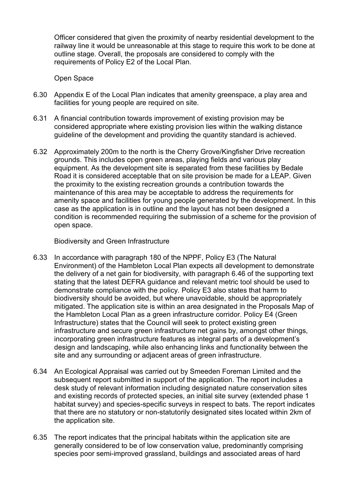Officer considered that given the proximity of nearby residential development to the railway line it would be unreasonable at this stage to require this work to be done at outline stage. Overall, the proposals are considered to comply with the requirements of Policy E2 of the Local Plan.

Open Space

- 6.30 Appendix E of the Local Plan indicates that amenity greenspace, a play area and facilities for young people are required on site.
- 6.31 A financial contribution towards improvement of existing provision may be considered appropriate where existing provision lies within the walking distance guideline of the development and providing the quantity standard is achieved.
- 6.32 Approximately 200m to the north is the Cherry Grove/Kingfisher Drive recreation grounds. This includes open green areas, playing fields and various play equipment. As the development site is separated from these facilities by Bedale Road it is considered acceptable that on site provision be made for a LEAP. Given the proximity to the existing recreation grounds a contribution towards the maintenance of this area may be acceptable to address the requirements for amenity space and facilities for young people generated by the development. In this case as the application is in outline and the layout has not been designed a condition is recommended requiring the submission of a scheme for the provision of open space.

Biodiversity and Green Infrastructure

- 6.33 In accordance with paragraph 180 of the NPPF, Policy E3 (The Natural Environment) of the Hambleton Local Plan expects all development to demonstrate the delivery of a net gain for biodiversity, with paragraph 6.46 of the supporting text stating that the latest DEFRA guidance and relevant metric tool should be used to demonstrate compliance with the policy. Policy E3 also states that harm to biodiversity should be avoided, but where unavoidable, should be appropriately mitigated. The application site is within an area designated in the Proposals Map of the Hambleton Local Plan as a green infrastructure corridor. Policy E4 (Green Infrastructure) states that the Council will seek to protect existing green infrastructure and secure green infrastructure net gains by, amongst other things, incorporating green infrastructure features as integral parts of a development's design and landscaping, while also enhancing links and functionality between the site and any surrounding or adjacent areas of green infrastructure.
- 6.34 An Ecological Appraisal was carried out by Smeeden Foreman Limited and the subsequent report submitted in support of the application. The report includes a desk study of relevant information including designated nature conservation sites and existing records of protected species, an initial site survey (extended phase 1 habitat survey) and species-specific surveys in respect to bats. The report indicates that there are no statutory or non-statutorily designated sites located within 2km of the application site.
- 6.35 The report indicates that the principal habitats within the application site are generally considered to be of low conservation value, predominantly comprising species poor semi-improved grassland, buildings and associated areas of hard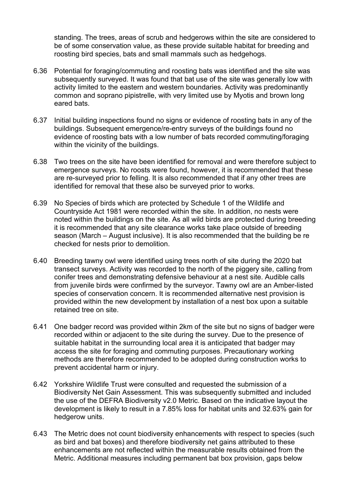standing. The trees, areas of scrub and hedgerows within the site are considered to be of some conservation value, as these provide suitable habitat for breeding and roosting bird species, bats and small mammals such as hedgehogs.

- 6.36 Potential for foraging/commuting and roosting bats was identified and the site was subsequently surveyed. It was found that bat use of the site was generally low with activity limited to the eastern and western boundaries. Activity was predominantly common and soprano pipistrelle, with very limited use by Myotis and brown long eared bats.
- 6.37 Initial building inspections found no signs or evidence of roosting bats in any of the buildings. Subsequent emergence/re-entry surveys of the buildings found no evidence of roosting bats with a low number of bats recorded commuting/foraging within the vicinity of the buildings.
- 6.38 Two trees on the site have been identified for removal and were therefore subject to emergence surveys. No roosts were found, however, it is recommended that these are re-surveyed prior to felling. It is also recommended that if any other trees are identified for removal that these also be surveyed prior to works.
- 6.39 No Species of birds which are protected by Schedule 1 of the Wildlife and Countryside Act 1981 were recorded within the site. In addition, no nests were noted within the buildings on the site. As all wild birds are protected during breeding it is recommended that any site clearance works take place outside of breeding season (March – August inclusive). It is also recommended that the building be re checked for nests prior to demolition.
- 6.40 Breeding tawny owl were identified using trees north of site during the 2020 bat transect surveys. Activity was recorded to the north of the piggery site, calling from conifer trees and demonstrating defensive behaviour at a nest site. Audible calls from juvenile birds were confirmed by the surveyor. Tawny owl are an Amber-listed species of conservation concern. It is recommended alternative nest provision is provided within the new development by installation of a nest box upon a suitable retained tree on site.
- 6.41 One badger record was provided within 2km of the site but no signs of badger were recorded within or adjacent to the site during the survey. Due to the presence of suitable habitat in the surrounding local area it is anticipated that badger may access the site for foraging and commuting purposes. Precautionary working methods are therefore recommended to be adopted during construction works to prevent accidental harm or injury.
- 6.42 Yorkshire Wildlife Trust were consulted and requested the submission of a Biodiversity Net Gain Assessment. This was subsequently submitted and included the use of the DEFRA Biodiversity v2.0 Metric. Based on the indicative layout the development is likely to result in a 7.85% loss for habitat units and 32.63% gain for hedgerow units.
- 6.43 The Metric does not count biodiversity enhancements with respect to species (such as bird and bat boxes) and therefore biodiversity net gains attributed to these enhancements are not reflected within the measurable results obtained from the Metric. Additional measures including permanent bat box provision, gaps below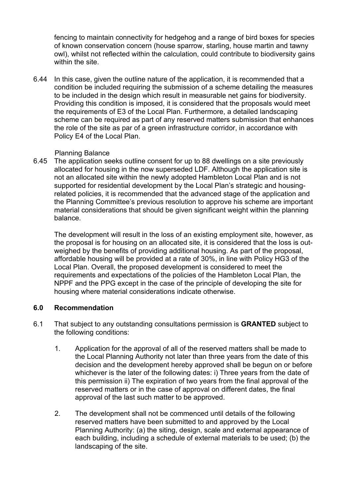fencing to maintain connectivity for hedgehog and a range of bird boxes for species of known conservation concern (house sparrow, starling, house martin and tawny owl), whilst not reflected within the calculation, could contribute to biodiversity gains within the site.

6.44 In this case, given the outline nature of the application, it is recommended that a condition be included requiring the submission of a scheme detailing the measures to be included in the design which result in measurable net gains for biodiversity. Providing this condition is imposed, it is considered that the proposals would meet the requirements of E3 of the Local Plan. Furthermore, a detailed landscaping scheme can be required as part of any reserved matters submission that enhances the role of the site as par of a green infrastructure corridor, in accordance with Policy E4 of the Local Plan.

### Planning Balance

6.45 The application seeks outline consent for up to 88 dwellings on a site previously allocated for housing in the now superseded LDF. Although the application site is not an allocated site within the newly adopted Hambleton Local Plan and is not supported for residential development by the Local Plan's strategic and housingrelated policies, it is recommended that the advanced stage of the application and the Planning Committee's previous resolution to approve his scheme are important material considerations that should be given significant weight within the planning balance.

The development will result in the loss of an existing employment site, however, as the proposal is for housing on an allocated site, it is considered that the loss is outweighed by the benefits of providing additional housing. As part of the proposal, affordable housing will be provided at a rate of 30%, in line with Policy HG3 of the Local Plan. Overall, the proposed development is considered to meet the requirements and expectations of the policies of the Hambleton Local Plan, the NPPF and the PPG except in the case of the principle of developing the site for housing where material considerations indicate otherwise.

# **6.0 Recommendation**

- 6.1 That subject to any outstanding consultations permission is **GRANTED** subject to the following conditions:
	- 1. Application for the approval of all of the reserved matters shall be made to the Local Planning Authority not later than three years from the date of this decision and the development hereby approved shall be begun on or before whichever is the later of the following dates: i) Three years from the date of this permission ii) The expiration of two years from the final approval of the reserved matters or in the case of approval on different dates, the final approval of the last such matter to be approved.
	- 2. The development shall not be commenced until details of the following reserved matters have been submitted to and approved by the Local Planning Authority: (a) the siting, design, scale and external appearance of each building, including a schedule of external materials to be used; (b) the landscaping of the site.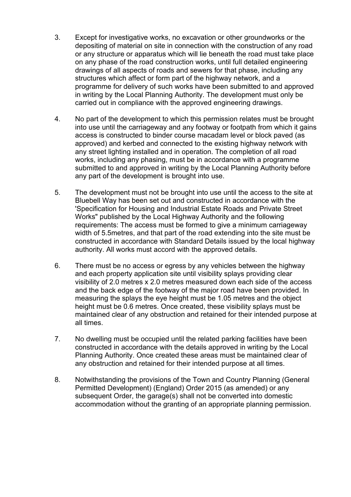- 3. Except for investigative works, no excavation or other groundworks or the depositing of material on site in connection with the construction of any road or any structure or apparatus which will lie beneath the road must take place on any phase of the road construction works, until full detailed engineering drawings of all aspects of roads and sewers for that phase, including any structures which affect or form part of the highway network, and a programme for delivery of such works have been submitted to and approved in writing by the Local Planning Authority. The development must only be carried out in compliance with the approved engineering drawings.
- 4. No part of the development to which this permission relates must be brought into use until the carriageway and any footway or footpath from which it gains access is constructed to binder course macadam level or block paved (as approved) and kerbed and connected to the existing highway network with any street lighting installed and in operation. The completion of all road works, including any phasing, must be in accordance with a programme submitted to and approved in writing by the Local Planning Authority before any part of the development is brought into use.
- 5. The development must not be brought into use until the access to the site at Bluebell Way has been set out and constructed in accordance with the 'Specification for Housing and Industrial Estate Roads and Private Street Works" published by the Local Highway Authority and the following requirements: The access must be formed to give a minimum carriageway width of 5.5metres, and that part of the road extending into the site must be constructed in accordance with Standard Details issued by the local highway authority. All works must accord with the approved details.
- 6. There must be no access or egress by any vehicles between the highway and each property application site until visibility splays providing clear visibility of 2.0 metres x 2.0 metres measured down each side of the access and the back edge of the footway of the major road have been provided. In measuring the splays the eye height must be 1.05 metres and the object height must be 0.6 metres. Once created, these visibility splays must be maintained clear of any obstruction and retained for their intended purpose at all times.
- 7. No dwelling must be occupied until the related parking facilities have been constructed in accordance with the details approved in writing by the Local Planning Authority. Once created these areas must be maintained clear of any obstruction and retained for their intended purpose at all times.
- 8. Notwithstanding the provisions of the Town and Country Planning (General Permitted Development) (England) Order 2015 (as amended) or any subsequent Order, the garage(s) shall not be converted into domestic accommodation without the granting of an appropriate planning permission.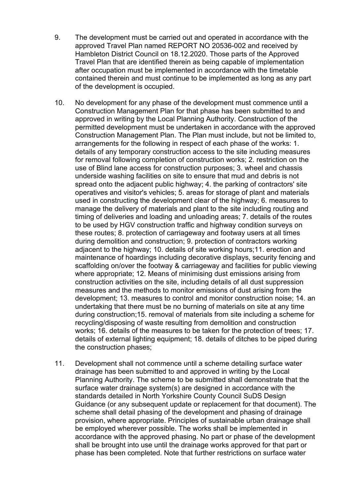- 9. The development must be carried out and operated in accordance with the approved Travel Plan named REPORT NO 20536-002 and received by Hambleton District Council on 18.12.2020. Those parts of the Approved Travel Plan that are identified therein as being capable of implementation after occupation must be implemented in accordance with the timetable contained therein and must continue to be implemented as long as any part of the development is occupied.
- 10. No development for any phase of the development must commence until a Construction Management Plan for that phase has been submitted to and approved in writing by the Local Planning Authority. Construction of the permitted development must be undertaken in accordance with the approved Construction Management Plan. The Plan must include, but not be limited to, arrangements for the following in respect of each phase of the works: 1. details of any temporary construction access to the site including measures for removal following completion of construction works; 2. restriction on the use of Blind lane access for construction purposes; 3. wheel and chassis underside washing facilities on site to ensure that mud and debris is not spread onto the adjacent public highway; 4. the parking of contractors' site operatives and visitor's vehicles; 5. areas for storage of plant and materials used in constructing the development clear of the highway; 6. measures to manage the delivery of materials and plant to the site including routing and timing of deliveries and loading and unloading areas; 7. details of the routes to be used by HGV construction traffic and highway condition surveys on these routes; 8. protection of carriageway and footway users at all times during demolition and construction; 9. protection of contractors working adjacent to the highway; 10. details of site working hours;11. erection and maintenance of hoardings including decorative displays, security fencing and scaffolding on/over the footway & carriageway and facilities for public viewing where appropriate; 12. Means of minimising dust emissions arising from construction activities on the site, including details of all dust suppression measures and the methods to monitor emissions of dust arising from the development; 13. measures to control and monitor construction noise; 14. an undertaking that there must be no burning of materials on site at any time during construction;15. removal of materials from site including a scheme for recycling/disposing of waste resulting from demolition and construction works; 16. details of the measures to be taken for the protection of trees; 17. details of external lighting equipment; 18. details of ditches to be piped during the construction phases;
- 11. Development shall not commence until a scheme detailing surface water drainage has been submitted to and approved in writing by the Local Planning Authority. The scheme to be submitted shall demonstrate that the surface water drainage system(s) are designed in accordance with the standards detailed in North Yorkshire County Council SuDS Design Guidance (or any subsequent update or replacement for that document). The scheme shall detail phasing of the development and phasing of drainage provision, where appropriate. Principles of sustainable urban drainage shall be employed wherever possible. The works shall be implemented in accordance with the approved phasing. No part or phase of the development shall be brought into use until the drainage works approved for that part or phase has been completed. Note that further restrictions on surface water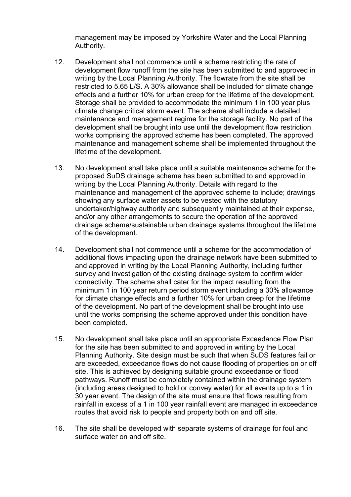management may be imposed by Yorkshire Water and the Local Planning Authority.

- 12. Development shall not commence until a scheme restricting the rate of development flow runoff from the site has been submitted to and approved in writing by the Local Planning Authority. The flowrate from the site shall be restricted to 5.65 L/S. A 30% allowance shall be included for climate change effects and a further 10% for urban creep for the lifetime of the development. Storage shall be provided to accommodate the minimum 1 in 100 year plus climate change critical storm event. The scheme shall include a detailed maintenance and management regime for the storage facility. No part of the development shall be brought into use until the development flow restriction works comprising the approved scheme has been completed. The approved maintenance and management scheme shall be implemented throughout the lifetime of the development.
- 13. No development shall take place until a suitable maintenance scheme for the proposed SuDS drainage scheme has been submitted to and approved in writing by the Local Planning Authority. Details with regard to the maintenance and management of the approved scheme to include; drawings showing any surface water assets to be vested with the statutory undertaker/highway authority and subsequently maintained at their expense, and/or any other arrangements to secure the operation of the approved drainage scheme/sustainable urban drainage systems throughout the lifetime of the development.
- 14. Development shall not commence until a scheme for the accommodation of additional flows impacting upon the drainage network have been submitted to and approved in writing by the Local Planning Authority, including further survey and investigation of the existing drainage system to confirm wider connectivity. The scheme shall cater for the impact resulting from the minimum 1 in 100 year return period storm event including a 30% allowance for climate change effects and a further 10% for urban creep for the lifetime of the development. No part of the development shall be brought into use until the works comprising the scheme approved under this condition have been completed.
- 15. No development shall take place until an appropriate Exceedance Flow Plan for the site has been submitted to and approved in writing by the Local Planning Authority. Site design must be such that when SuDS features fail or are exceeded, exceedance flows do not cause flooding of properties on or off site. This is achieved by designing suitable ground exceedance or flood pathways. Runoff must be completely contained within the drainage system (including areas designed to hold or convey water) for all events up to a 1 in 30 year event. The design of the site must ensure that flows resulting from rainfall in excess of a 1 in 100 year rainfall event are managed in exceedance routes that avoid risk to people and property both on and off site.
- 16. The site shall be developed with separate systems of drainage for foul and surface water on and off site.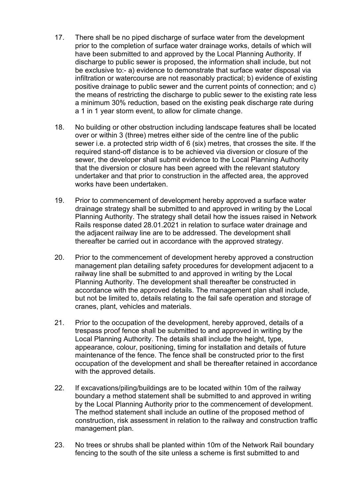- 17. There shall be no piped discharge of surface water from the development prior to the completion of surface water drainage works, details of which will have been submitted to and approved by the Local Planning Authority. If discharge to public sewer is proposed, the information shall include, but not be exclusive to:- a) evidence to demonstrate that surface water disposal via infiltration or watercourse are not reasonably practical; b) evidence of existing positive drainage to public sewer and the current points of connection; and c) the means of restricting the discharge to public sewer to the existing rate less a minimum 30% reduction, based on the existing peak discharge rate during a 1 in 1 year storm event, to allow for climate change.
- 18. No building or other obstruction including landscape features shall be located over or within 3 (three) metres either side of the centre line of the public sewer i.e. a protected strip width of 6 (six) metres, that crosses the site. If the required stand-off distance is to be achieved via diversion or closure of the sewer, the developer shall submit evidence to the Local Planning Authority that the diversion or closure has been agreed with the relevant statutory undertaker and that prior to construction in the affected area, the approved works have been undertaken.
- 19. Prior to commencement of development hereby approved a surface water drainage strategy shall be submitted to and approved in writing by the Local Planning Authority. The strategy shall detail how the issues raised in Network Rails response dated 28.01.2021 in relation to surface water drainage and the adjacent railway line are to be addressed. The development shall thereafter be carried out in accordance with the approved strategy.
- 20. Prior to the commencement of development hereby approved a construction management plan detailing safety procedures for development adjacent to a railway line shall be submitted to and approved in writing by the Local Planning Authority. The development shall thereafter be constructed in accordance with the approved details. The management plan shall include, but not be limited to, details relating to the fail safe operation and storage of cranes, plant, vehicles and materials.
- 21. Prior to the occupation of the development, hereby approved, details of a trespass proof fence shall be submitted to and approved in writing by the Local Planning Authority. The details shall include the height, type, appearance, colour, positioning, timing for installation and details of future maintenance of the fence. The fence shall be constructed prior to the first occupation of the development and shall be thereafter retained in accordance with the approved details.
- 22. If excavations/piling/buildings are to be located within 10m of the railway boundary a method statement shall be submitted to and approved in writing by the Local Planning Authority prior to the commencement of development. The method statement shall include an outline of the proposed method of construction, risk assessment in relation to the railway and construction traffic management plan.
- 23. No trees or shrubs shall be planted within 10m of the Network Rail boundary fencing to the south of the site unless a scheme is first submitted to and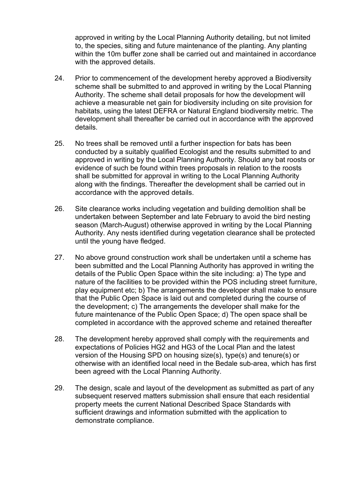approved in writing by the Local Planning Authority detailing, but not limited to, the species, siting and future maintenance of the planting. Any planting within the 10m buffer zone shall be carried out and maintained in accordance with the approved details.

- 24. Prior to commencement of the development hereby approved a Biodiversity scheme shall be submitted to and approved in writing by the Local Planning Authority. The scheme shall detail proposals for how the development will achieve a measurable net gain for biodiversity including on site provision for habitats, using the latest DEFRA or Natural England biodiversity metric. The development shall thereafter be carried out in accordance with the approved details.
- 25. No trees shall be removed until a further inspection for bats has been conducted by a suitably qualified Ecologist and the results submitted to and approved in writing by the Local Planning Authority. Should any bat roosts or evidence of such be found within trees proposals in relation to the roosts shall be submitted for approval in writing to the Local Planning Authority along with the findings. Thereafter the development shall be carried out in accordance with the approved details.
- 26. Site clearance works including vegetation and building demolition shall be undertaken between September and late February to avoid the bird nesting season (March-August) otherwise approved in writing by the Local Planning Authority. Any nests identified during vegetation clearance shall be protected until the young have fledged.
- 27. No above ground construction work shall be undertaken until a scheme has been submitted and the Local Planning Authority has approved in writing the details of the Public Open Space within the site including: a) The type and nature of the facilities to be provided within the POS including street furniture, play equipment etc; b) The arrangements the developer shall make to ensure that the Public Open Space is laid out and completed during the course of the development; c) The arrangements the developer shall make for the future maintenance of the Public Open Space; d) The open space shall be completed in accordance with the approved scheme and retained thereafter
- 28. The development hereby approved shall comply with the requirements and expectations of Policies HG2 and HG3 of the Local Plan and the latest version of the Housing SPD on housing size(s), type(s) and tenure(s) or otherwise with an identified local need in the Bedale sub-area, which has first been agreed with the Local Planning Authority.
- 29. The design, scale and layout of the development as submitted as part of any subsequent reserved matters submission shall ensure that each residential property meets the current National Described Space Standards with sufficient drawings and information submitted with the application to demonstrate compliance.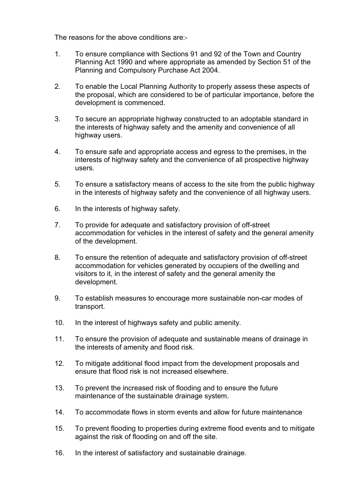The reasons for the above conditions are:-

- 1. To ensure compliance with Sections 91 and 92 of the Town and Country Planning Act 1990 and where appropriate as amended by Section 51 of the Planning and Compulsory Purchase Act 2004.
- 2. To enable the Local Planning Authority to properly assess these aspects of the proposal, which are considered to be of particular importance, before the development is commenced.
- 3. To secure an appropriate highway constructed to an adoptable standard in the interests of highway safety and the amenity and convenience of all highway users.
- 4. To ensure safe and appropriate access and egress to the premises, in the interests of highway safety and the convenience of all prospective highway users.
- 5. To ensure a satisfactory means of access to the site from the public highway in the interests of highway safety and the convenience of all highway users.
- 6. In the interests of highway safety.
- 7. To provide for adequate and satisfactory provision of off-street accommodation for vehicles in the interest of safety and the general amenity of the development.
- 8. To ensure the retention of adequate and satisfactory provision of off-street accommodation for vehicles generated by occupiers of the dwelling and visitors to it, in the interest of safety and the general amenity the development.
- 9. To establish measures to encourage more sustainable non-car modes of transport.
- 10. In the interest of highways safety and public amenity.
- 11. To ensure the provision of adequate and sustainable means of drainage in the interests of amenity and flood risk.
- 12. To mitigate additional flood impact from the development proposals and ensure that flood risk is not increased elsewhere.
- 13. To prevent the increased risk of flooding and to ensure the future maintenance of the sustainable drainage system.
- 14. To accommodate flows in storm events and allow for future maintenance
- 15. To prevent flooding to properties during extreme flood events and to mitigate against the risk of flooding on and off the site.
- 16. In the interest of satisfactory and sustainable drainage.